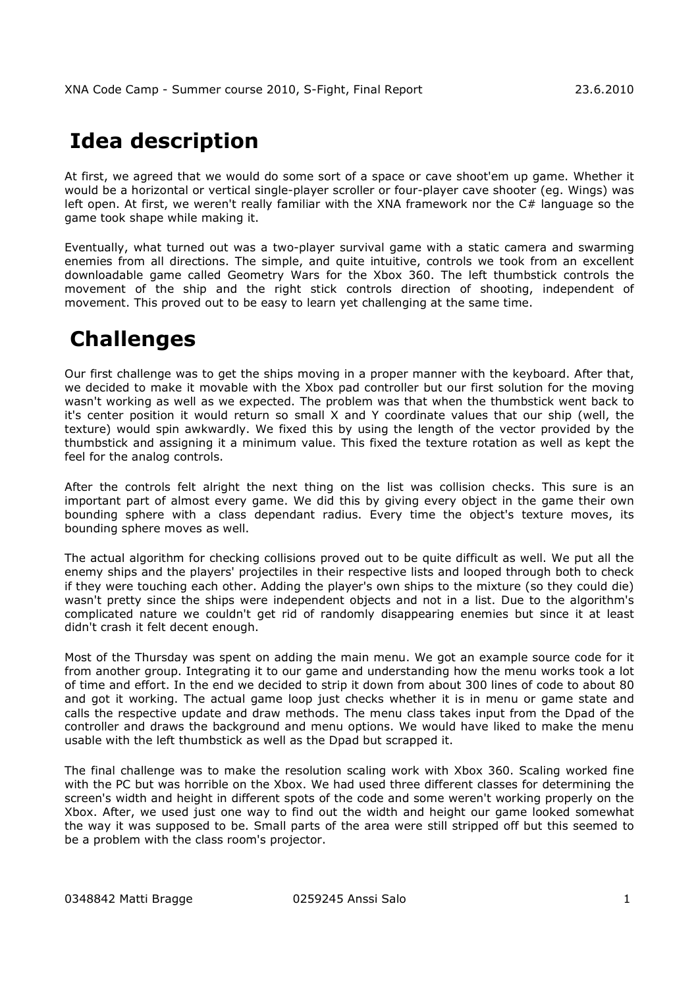# Idea description

At first, we agreed that we would do some sort of a space or cave shoot'em up game. Whether it would be a horizontal or vertical single-player scroller or four-player cave shooter (eg. Wings) was left open. At first, we weren't really familiar with the XNA framework nor the C# language so the game took shape while making it.

Eventually, what turned out was a two-player survival game with a static camera and swarming enemies from all directions. The simple, and quite intuitive, controls we took from an excellent downloadable game called Geometry Wars for the Xbox 360. The left thumbstick controls the movement of the ship and the right stick controls direction of shooting, independent of movement. This proved out to be easy to learn yet challenging at the same time.

### Challenges

Our first challenge was to get the ships moving in a proper manner with the keyboard. After that, we decided to make it movable with the Xbox pad controller but our first solution for the moving wasn't working as well as we expected. The problem was that when the thumbstick went back to it's center position it would return so small X and Y coordinate values that our ship (well, the texture) would spin awkwardly. We fixed this by using the length of the vector provided by the thumbstick and assigning it a minimum value. This fixed the texture rotation as well as kept the feel for the analog controls.

After the controls felt alright the next thing on the list was collision checks. This sure is an important part of almost every game. We did this by giving every object in the game their own bounding sphere with a class dependant radius. Every time the object's texture moves, its bounding sphere moves as well.

The actual algorithm for checking collisions proved out to be quite difficult as well. We put all the enemy ships and the players' projectiles in their respective lists and looped through both to check if they were touching each other. Adding the player's own ships to the mixture (so they could die) wasn't pretty since the ships were independent objects and not in a list. Due to the algorithm's complicated nature we couldn't get rid of randomly disappearing enemies but since it at least didn't crash it felt decent enough.

Most of the Thursday was spent on adding the main menu. We got an example source code for it from another group. Integrating it to our game and understanding how the menu works took a lot of time and effort. In the end we decided to strip it down from about 300 lines of code to about 80 and got it working. The actual game loop just checks whether it is in menu or game state and calls the respective update and draw methods. The menu class takes input from the Dpad of the controller and draws the background and menu options. We would have liked to make the menu usable with the left thumbstick as well as the Dpad but scrapped it.

The final challenge was to make the resolution scaling work with Xbox 360. Scaling worked fine with the PC but was horrible on the Xbox. We had used three different classes for determining the screen's width and height in different spots of the code and some weren't working properly on the Xbox. After, we used just one way to find out the width and height our game looked somewhat the way it was supposed to be. Small parts of the area were still stripped off but this seemed to be a problem with the class room's projector.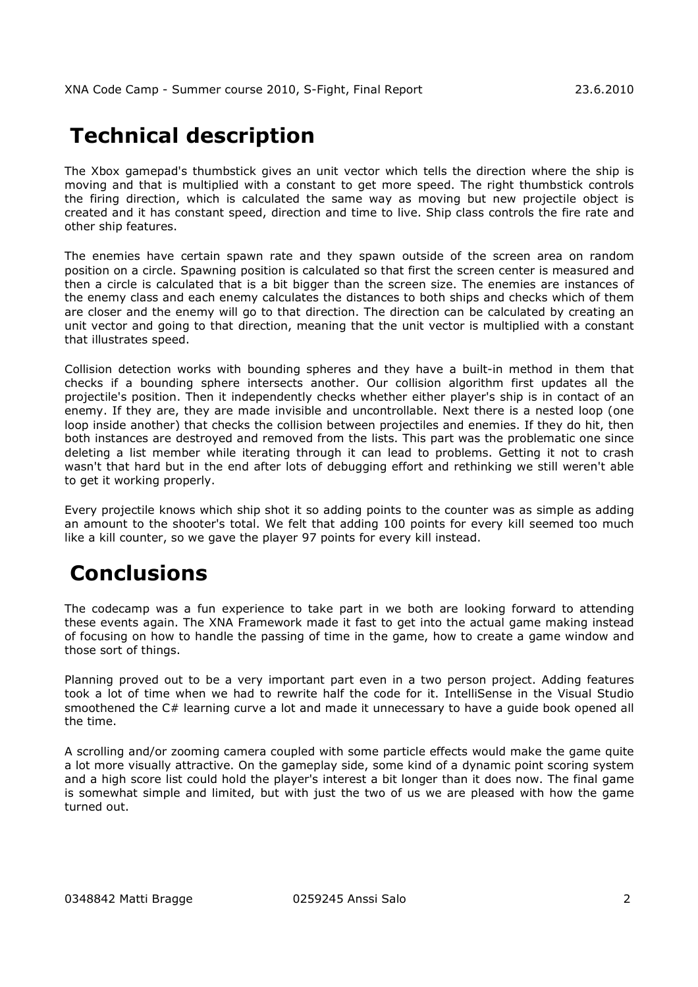## Technical description

The Xbox gamepad's thumbstick gives an unit vector which tells the direction where the ship is moving and that is multiplied with a constant to get more speed. The right thumbstick controls the firing direction, which is calculated the same way as moving but new projectile object is created and it has constant speed, direction and time to live. Ship class controls the fire rate and other ship features.

The enemies have certain spawn rate and they spawn outside of the screen area on random position on a circle. Spawning position is calculated so that first the screen center is measured and then a circle is calculated that is a bit bigger than the screen size. The enemies are instances of the enemy class and each enemy calculates the distances to both ships and checks which of them are closer and the enemy will go to that direction. The direction can be calculated by creating an unit vector and going to that direction, meaning that the unit vector is multiplied with a constant that illustrates speed.

Collision detection works with bounding spheres and they have a built-in method in them that checks if a bounding sphere intersects another. Our collision algorithm first updates all the projectile's position. Then it independently checks whether either player's ship is in contact of an enemy. If they are, they are made invisible and uncontrollable. Next there is a nested loop (one loop inside another) that checks the collision between projectiles and enemies. If they do hit, then both instances are destroyed and removed from the lists. This part was the problematic one since deleting a list member while iterating through it can lead to problems. Getting it not to crash wasn't that hard but in the end after lots of debugging effort and rethinking we still weren't able to get it working properly.

Every projectile knows which ship shot it so adding points to the counter was as simple as adding an amount to the shooter's total. We felt that adding 100 points for every kill seemed too much like a kill counter, so we gave the player 97 points for every kill instead.

# Conclusions

The codecamp was a fun experience to take part in we both are looking forward to attending these events again. The XNA Framework made it fast to get into the actual game making instead of focusing on how to handle the passing of time in the game, how to create a game window and those sort of things.

Planning proved out to be a very important part even in a two person project. Adding features took a lot of time when we had to rewrite half the code for it. IntelliSense in the Visual Studio smoothened the C# learning curve a lot and made it unnecessary to have a guide book opened all the time.

A scrolling and/or zooming camera coupled with some particle effects would make the game quite a lot more visually attractive. On the gameplay side, some kind of a dynamic point scoring system and a high score list could hold the player's interest a bit longer than it does now. The final game is somewhat simple and limited, but with just the two of us we are pleased with how the game turned out.